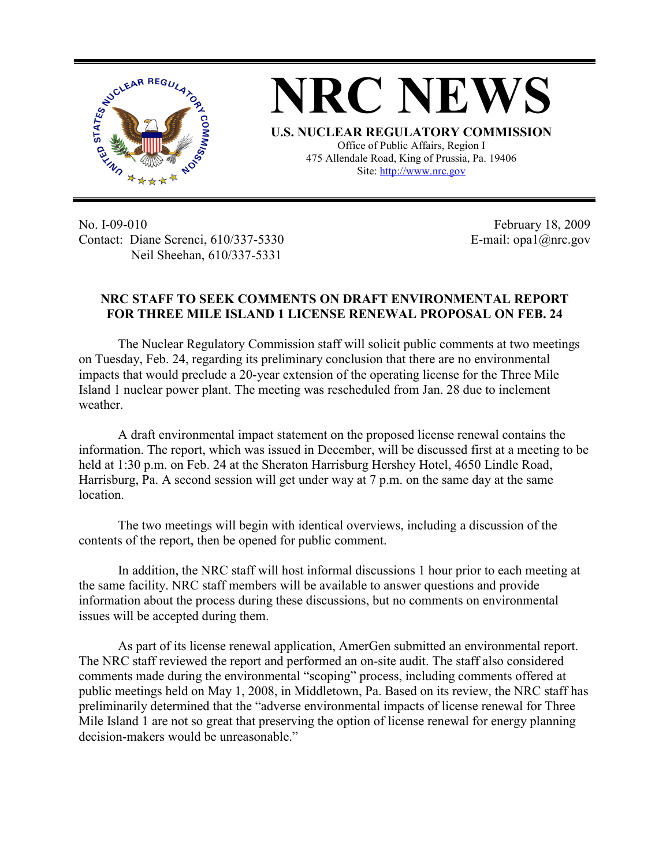

**NRC NEWS U.S. NUCLEAR REGULATORY COMMISSION** Office of Public Affairs, Region I 475 Allendale Road, King of Prussia, Pa. 19406

Site: http://www.nrc.gov

No. I-09-010 Contact: Diane Screnci, 610/337-5330 Neil Sheehan, 610/337-5331

February 18, 2009 E-mail: opa1@nrc.gov

## **NRC STAFF TO SEEK COMMENTS ON DRAFT ENVIRONMENTAL REPORT FOR THREE MILE ISLAND 1 LICENSE RENEWAL PROPOSAL ON FEB. 24**

The Nuclear Regulatory Commission staff will solicit public comments at two meetings on Tuesday, Feb. 24, regarding its preliminary conclusion that there are no environmental impacts that would preclude a 20-year extension of the operating license for the Three Mile Island 1 nuclear power plant. The meeting was rescheduled from Jan. 28 due to inclement weather.

A draft environmental impact statement on the proposed license renewal contains the information. The report, which was issued in December, will be discussed first at a meeting to be held at 1:30 p.m. on Feb. 24 at the Sheraton Harrisburg Hershey Hotel, 4650 Lindle Road, Harrisburg, Pa. A second session will get under way at 7 p.m. on the same day at the same location.

The two meetings will begin with identical overviews, including a discussion of the contents of the report, then be opened for public comment.

In addition, the NRC staff will host informal discussions 1 hour prior to each meeting at the same facility. NRC staff members will be available to answer questions and provide information about the process during these discussions, but no comments on environmental issues will be accepted during them.

As part of its license renewal application, AmerGen submitted an environmental report. The NRC staff reviewed the report and performed an on-site audit. The staff also considered comments made during the environmental "scoping" process, including comments offered at public meetings held on May 1, 2008, in Middletown, Pa. Based on its review, the NRC staff has preliminarily determined that the "adverse environmental impacts of license renewal for Three Mile Island 1 are not so great that preserving the option of license renewal for energy planning decision-makers would be unreasonable."